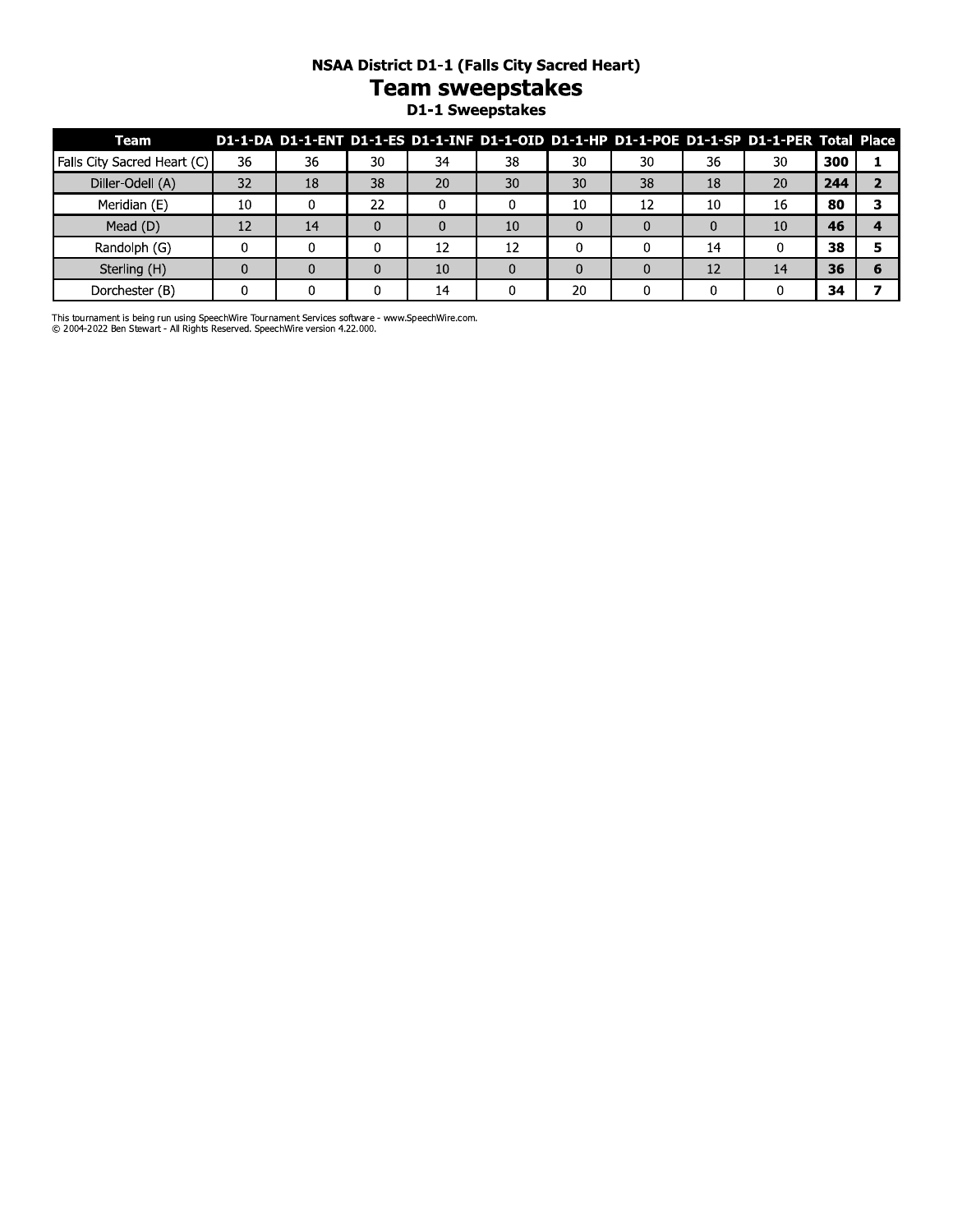# **NSAA District D1-1 (Falls City Sacred Heart)**

# Team sweepstakes<br>D1-1 Sweepstakes

| Team                        |    |    |    |    |    |    |    |    | D1-1-DA D1-1-ENT D1-1-ES D1-1-INF D1-1-OID D1-1-HP D1-1-POE D1-1-SP D1-1-PER Total Place |     |  |
|-----------------------------|----|----|----|----|----|----|----|----|------------------------------------------------------------------------------------------|-----|--|
| Falls City Sacred Heart (C) | 36 | 36 | 30 | 34 | 38 | 30 | 30 | 36 | 30                                                                                       | 300 |  |
| Diller-Odell (A)            | 32 | 18 | 38 | 20 | 30 | 30 | 38 | 18 | 20                                                                                       | 244 |  |
| Meridian (E)                | 10 |    | 22 |    |    | 10 | 12 | 10 | 16                                                                                       | 80  |  |
| Mead (D)                    | 12 | 14 |    | 0  | 10 |    |    |    | 10                                                                                       | 46  |  |
| Randolph (G)                |    |    |    | 12 | 12 |    |    | 14 |                                                                                          | 38  |  |
| Sterling (H)                |    |    |    | 10 |    |    |    | 12 | 14                                                                                       | 36  |  |
| Dorchester (B)              |    |    |    | 14 |    | 20 |    |    |                                                                                          | 34  |  |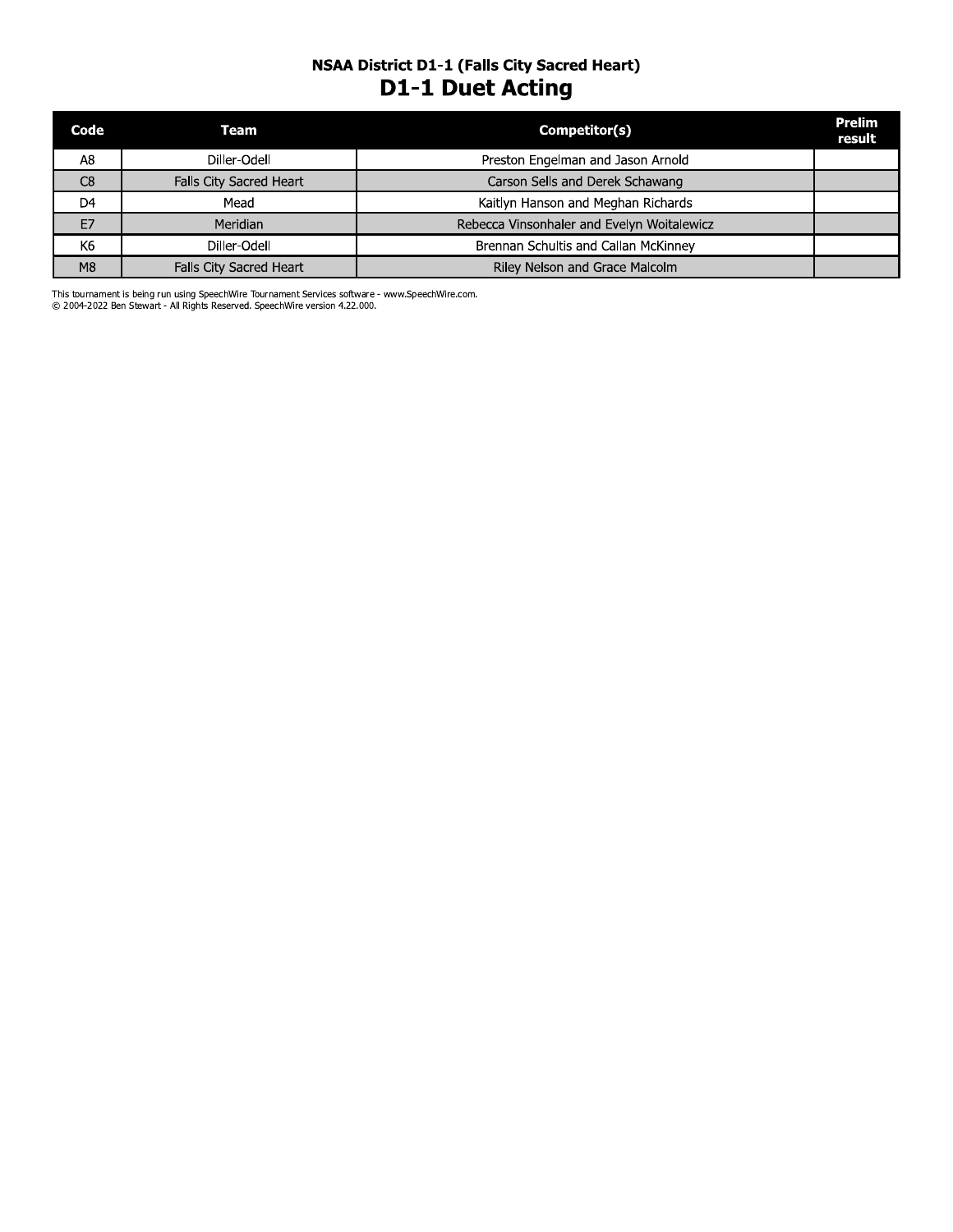# **NSAA District D1-1 (Falls City Sacred Heart) D1-1 Duet Acting**

| Code           | Team                    | Competitor(s)                              | Prelim<br>result |
|----------------|-------------------------|--------------------------------------------|------------------|
| A8             | Diller-Odell            | Preston Engelman and Jason Arnold          |                  |
| C8             | Falls City Sacred Heart | Carson Sells and Derek Schawang            |                  |
| D <sub>4</sub> | Mead                    | Kaitlyn Hanson and Meghan Richards         |                  |
| E7             | Meridian                | Rebecca Vinsonhaler and Evelyn Woitalewicz |                  |
| K <sub>6</sub> | Diller-Odell            | Brennan Schultis and Callan McKinney       |                  |
| M8             | Falls City Sacred Heart | Riley Nelson and Grace Malcolm             |                  |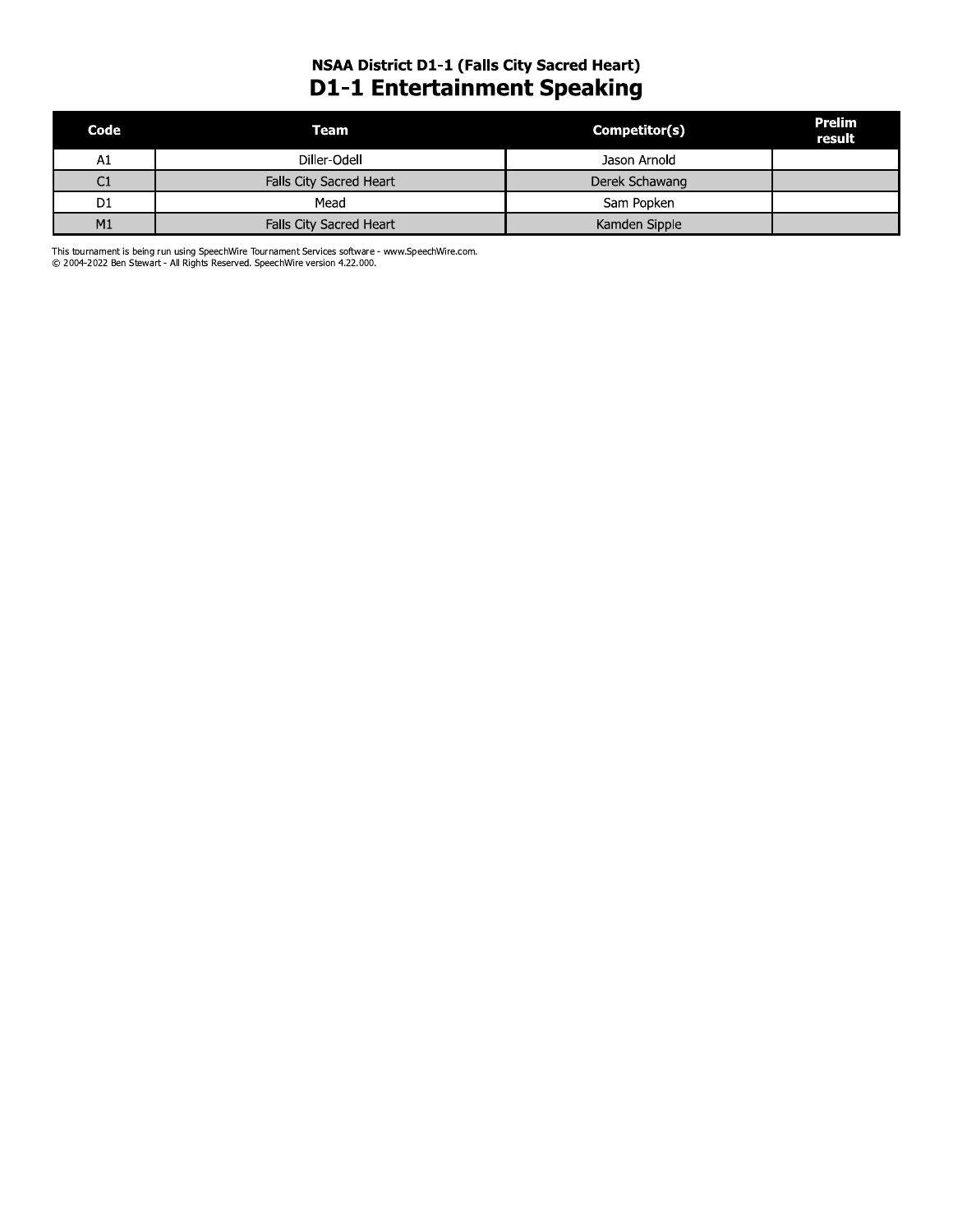# **NSAA District D1-1 (Falls City Sacred Heart) D1-1 Entertainment Speaking**

| Code           | Team                           | Competitor(s)  | Prelim<br>result |
|----------------|--------------------------------|----------------|------------------|
| A1             | Diller-Odell                   | Jason Arnold   |                  |
| C1             | Falls City Sacred Heart        | Derek Schawang |                  |
| D <sub>1</sub> | Mead                           | Sam Popken     |                  |
| M1             | <b>Falls City Sacred Heart</b> | Kamden Sipple  |                  |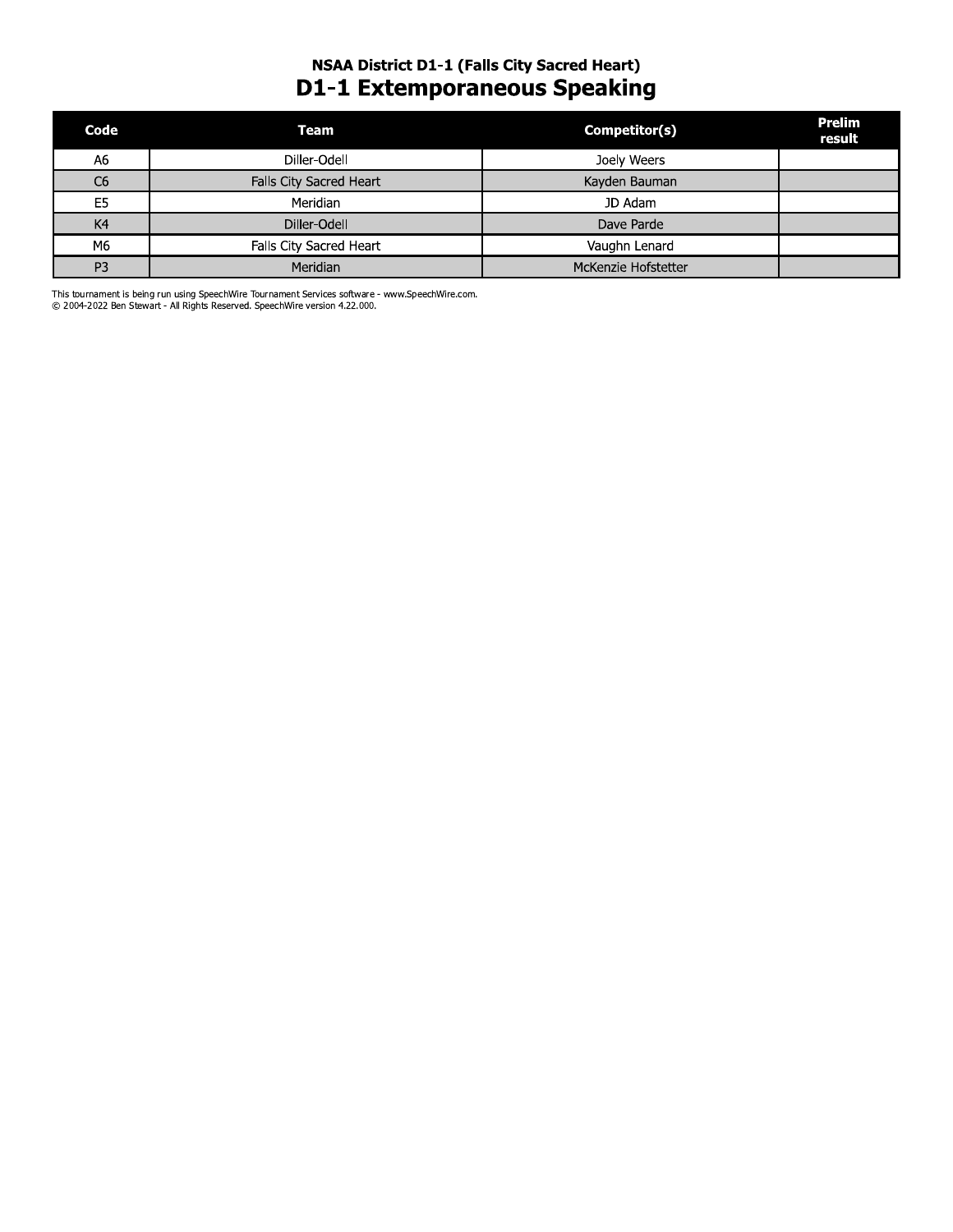# **NSAA District D1-1 (Falls City Sacred Heart) D1-1 Extemporaneous Speaking**

| Code           | <b>Team</b>             | Competitor(s)       | <b>Prelim</b><br>result |
|----------------|-------------------------|---------------------|-------------------------|
| A <sub>6</sub> | Diller-Odell            | Joely Weers         |                         |
| C <sub>6</sub> | Falls City Sacred Heart | Kayden Bauman       |                         |
| E5             | Meridian                | JD Adam             |                         |
| K4             | Diller-Odell            | Dave Parde          |                         |
| M6             | Falls City Sacred Heart | Vaughn Lenard       |                         |
| P <sub>3</sub> | <b>Meridian</b>         | McKenzie Hofstetter |                         |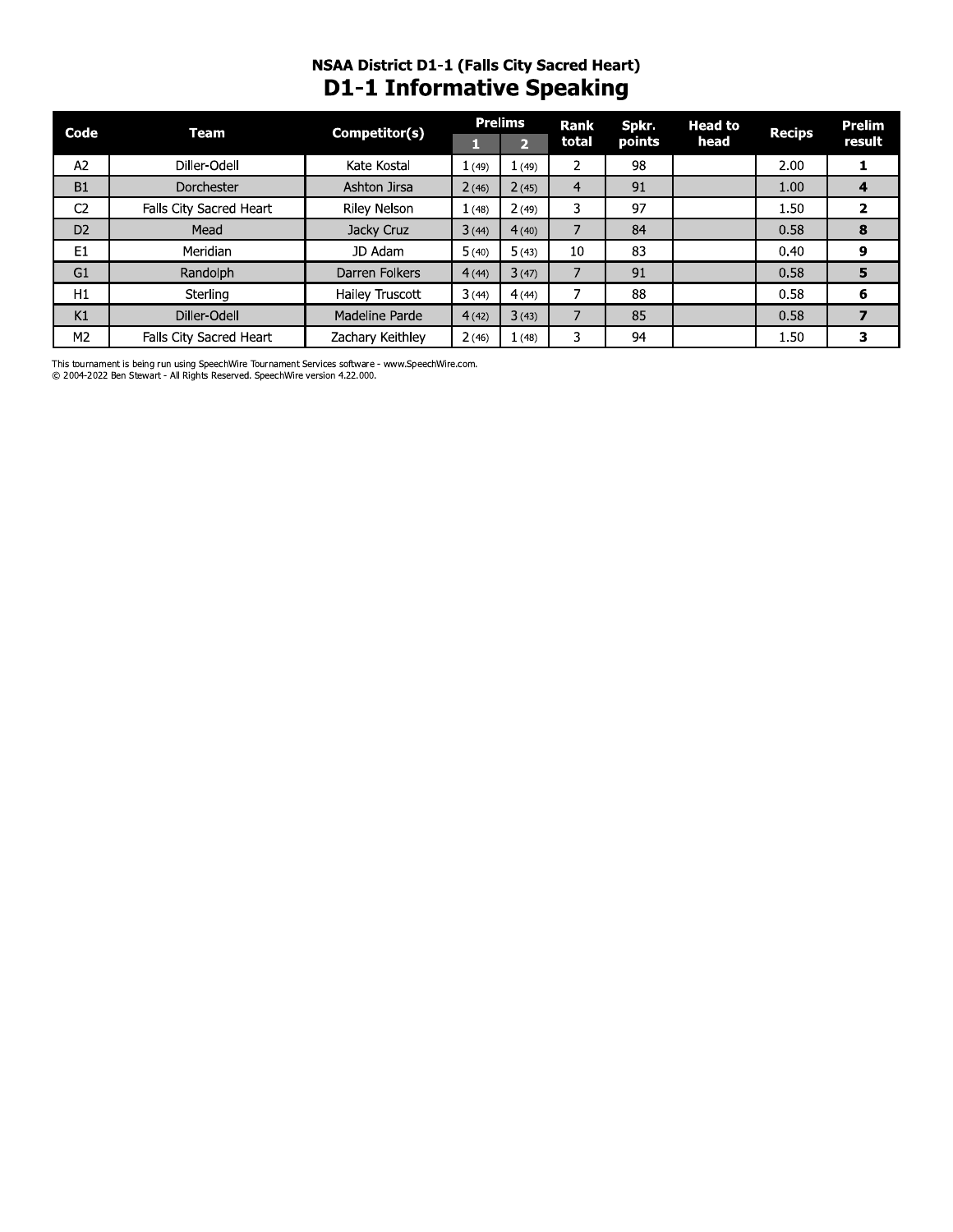# **NSAA District D1-1 (Falls City Sacred Heart) D1-1 Informative Speaking**

| Code           | Team                    | Competitor(s)       |       | <b>Prelims</b> | Rank           | Spkr.  | <b>Head to</b> | <b>Recips</b> | Prelim |
|----------------|-------------------------|---------------------|-------|----------------|----------------|--------|----------------|---------------|--------|
|                |                         |                     |       | $\overline{2}$ | total          | points | head           |               | result |
| A2             | Diller-Odell            | Kate Kostal         | 1(49) | (49)           | 2              | 98     |                | 2.00          | 1      |
| <b>B1</b>      | Dorchester              | Ashton Jirsa        | 2(46) | 2(45)          | $\overline{4}$ | 91     |                | 1.00          | 4      |
| C <sub>2</sub> | Falls City Sacred Heart | <b>Riley Nelson</b> | 1(48) | 2(49)          | 3              | 97     |                | 1.50          | 2      |
| D <sub>2</sub> | Mead                    | Jacky Cruz          | 3(44) | 4(40)          |                | 84     |                | 0.58          | 8      |
| E1             | Meridian                | JD Adam             | 5(40) | 5(43)          | 10             | 83     |                | 0.40          | 9      |
| G <sub>1</sub> | Randolph                | Darren Folkers      | 4(44) | 3(47)          |                | 91     |                | 0.58          | 5      |
| H1             | Sterling                | Hailey Truscott     | 3(44) | 4(44)          |                | 88     |                | 0.58          | 6      |
| K1             | Diller-Odell            | Madeline Parde      | 4(42) | 3(43)          |                | 85     |                | 0.58          |        |
| M <sub>2</sub> | Falls City Sacred Heart | Zachary Keithley    | 2(46) | 1(48)          | 3              | 94     |                | 1.50          | 3      |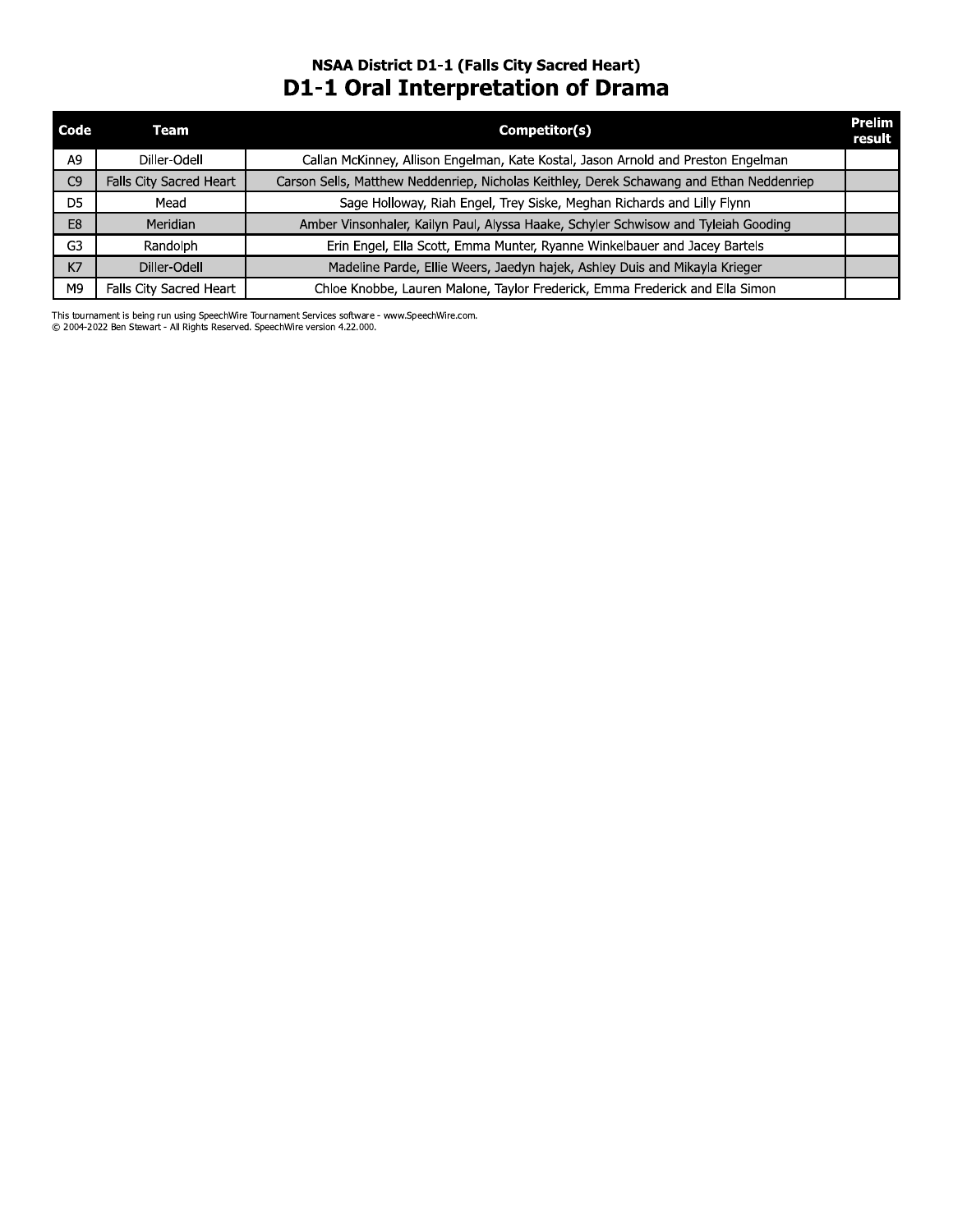# **NSAA District D1-1 (Falls City Sacred Heart) D1-1 Oral Interpretation of Drama**

| Code           | Team                    | Competitor(s)                                                                            | <b>Prelim</b><br>result |
|----------------|-------------------------|------------------------------------------------------------------------------------------|-------------------------|
| A9             | Diller-Odell            | Callan McKinney, Allison Engelman, Kate Kostal, Jason Arnold and Preston Engelman        |                         |
| C <sub>9</sub> | Falls City Sacred Heart | Carson Sells, Matthew Neddenriep, Nicholas Keithley, Derek Schawang and Ethan Neddenriep |                         |
| D5             | Mead                    | Sage Holloway, Riah Engel, Trey Siske, Meghan Richards and Lilly Flynn                   |                         |
| E <sub>8</sub> | Meridian                | Amber Vinsonhaler, Kailyn Paul, Alyssa Haake, Schyler Schwisow and Tyleiah Gooding       |                         |
| G <sub>3</sub> | Randolph                | Erin Engel, Ella Scott, Emma Munter, Ryanne Winkelbauer and Jacey Bartels                |                         |
| K7             | Diller-Odell            | Madeline Parde, Ellie Weers, Jaedyn hajek, Ashley Duis and Mikayla Krieger               |                         |
| M9             | Falls City Sacred Heart | Chloe Knobbe, Lauren Malone, Taylor Frederick, Emma Frederick and Ella Simon             |                         |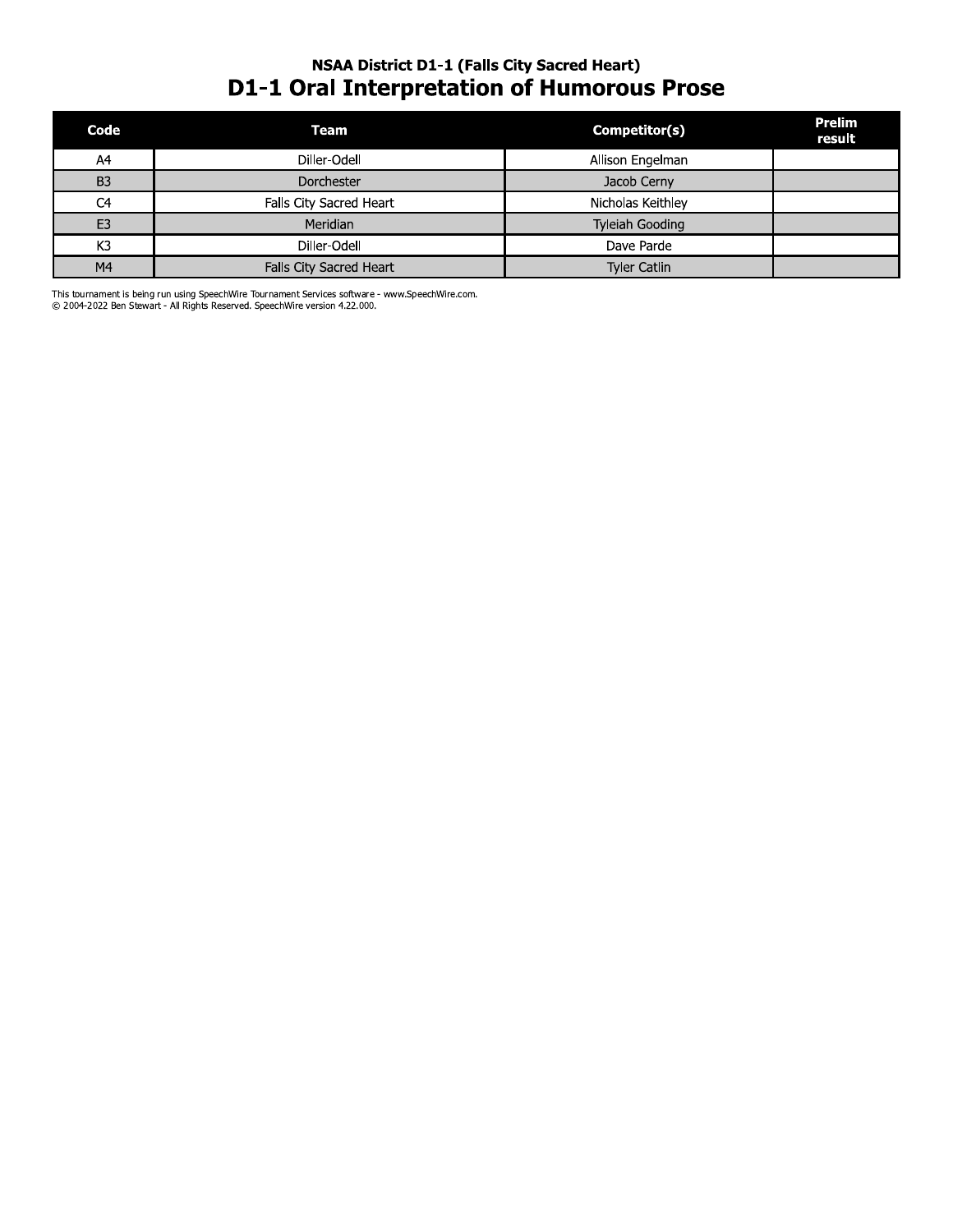# **NSAA District D1-1 (Falls City Sacred Heart) D1-1 Oral Interpretation of Humorous Prose**

| Code           | Team                    | Competitor(s)       | Prelim<br>result |
|----------------|-------------------------|---------------------|------------------|
| A4             | Diller-Odell            | Allison Engelman    |                  |
| B <sub>3</sub> | Dorchester              | Jacob Cerny         |                  |
| C <sub>4</sub> | Falls City Sacred Heart | Nicholas Keithley   |                  |
| E <sub>3</sub> | Meridian                | Tyleiah Gooding     |                  |
| K <sub>3</sub> | Diller-Odell            | Dave Parde          |                  |
| M <sub>4</sub> | Falls City Sacred Heart | <b>Tyler Catlin</b> |                  |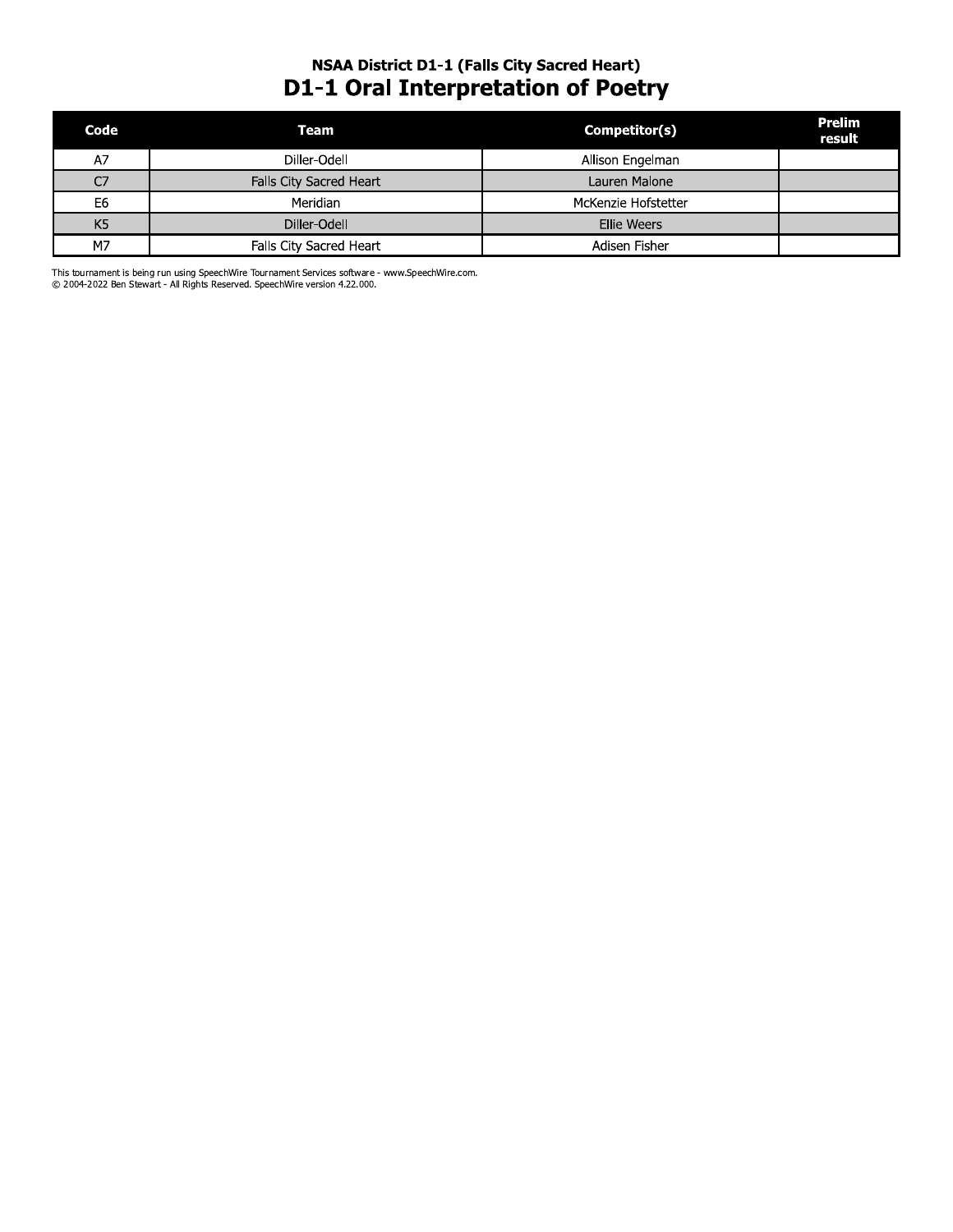# **NSAA District D1-1 (Falls City Sacred Heart) D1-1 Oral Interpretation of Poetry**

| Code           | Team                    | Competitor(s)       | Prelim<br>result |
|----------------|-------------------------|---------------------|------------------|
| A7             | Diller-Odell            | Allison Engelman    |                  |
| C7             | Falls City Sacred Heart | Lauren Malone       |                  |
| E6             | Meridian                | McKenzie Hofstetter |                  |
| K <sub>5</sub> | Diller-Odell            | <b>Ellie Weers</b>  |                  |
| M7             | Falls City Sacred Heart | Adisen Fisher       |                  |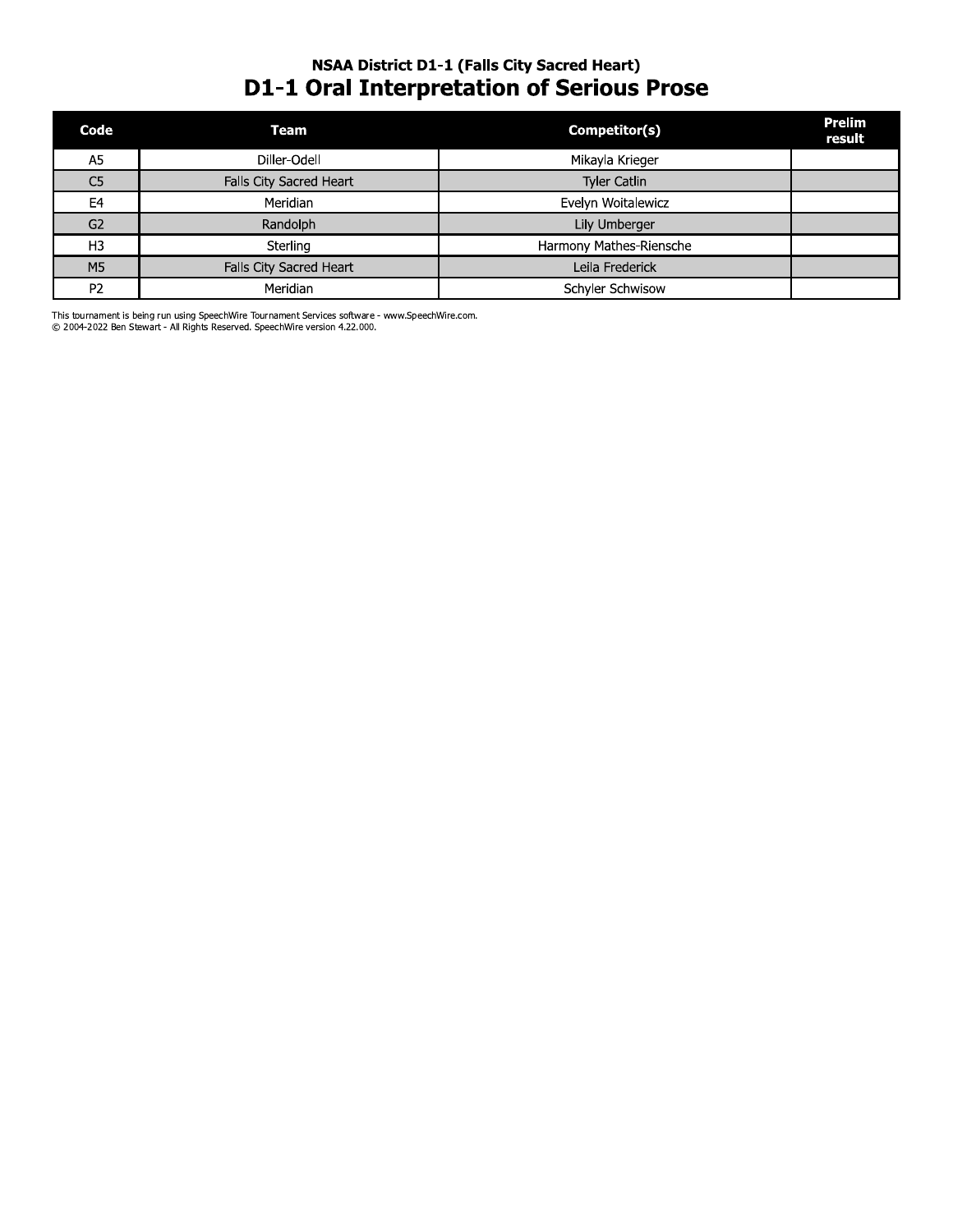# **NSAA District D1-1 (Falls City Sacred Heart) D1-1 Oral Interpretation of Serious Prose**

| Code           | Team                    | Competitor(s)           | <b>Prelim</b><br>result |
|----------------|-------------------------|-------------------------|-------------------------|
| A <sub>5</sub> | Diller-Odell            | Mikayla Krieger         |                         |
| C <sub>5</sub> | Falls City Sacred Heart | <b>Tyler Catlin</b>     |                         |
| E4             | Meridian                | Evelyn Woitalewicz      |                         |
| G <sub>2</sub> | Randolph                | Lily Umberger           |                         |
| H <sub>3</sub> | Sterling                | Harmony Mathes-Riensche |                         |
| M5             | Falls City Sacred Heart | Leila Frederick         |                         |
| P <sub>2</sub> | Meridian                | Schyler Schwisow        |                         |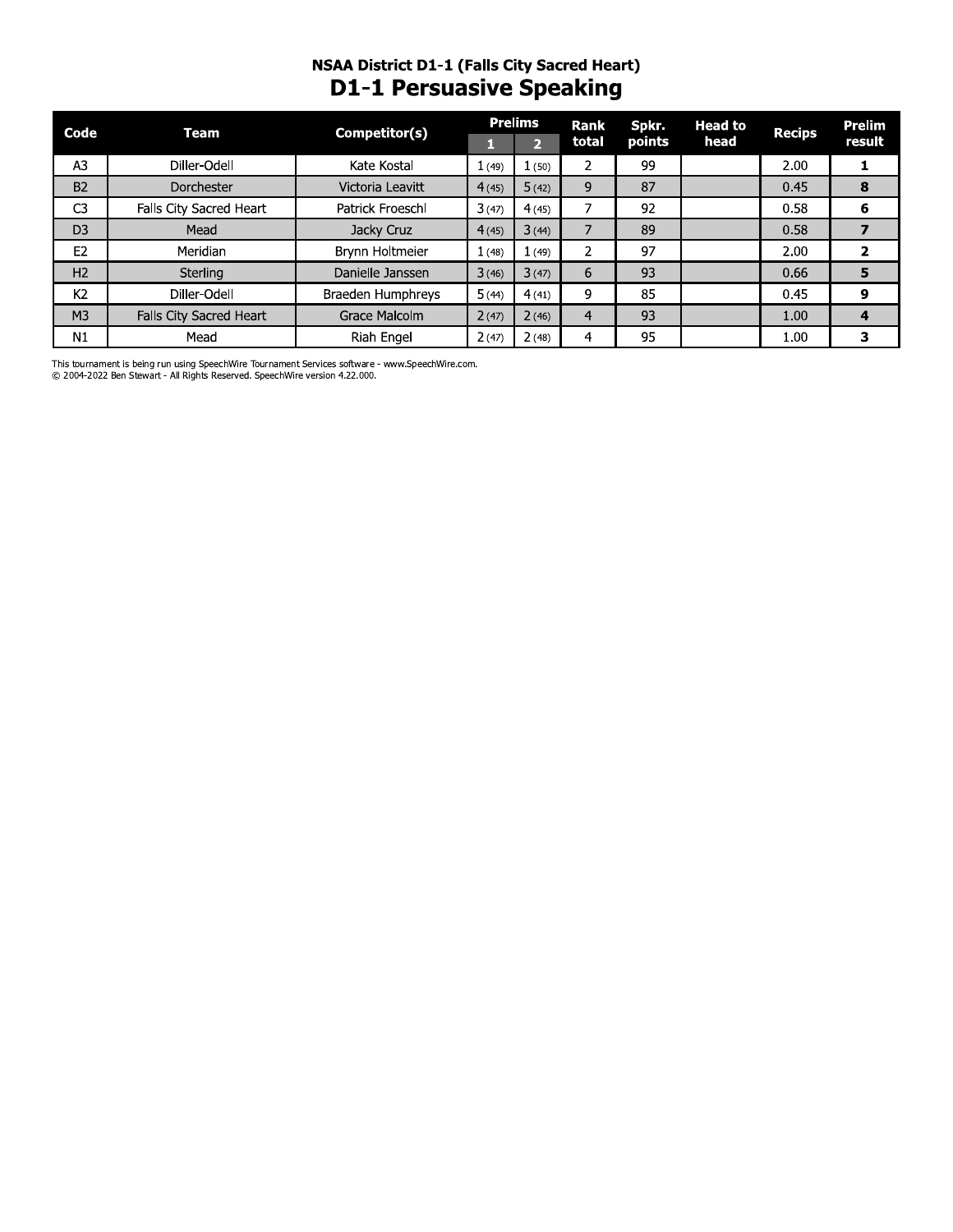# **NSAA District D1-1 (Falls City Sacred Heart) D1-1 Persuasive Speaking**

| Code           | Team                           | Competitor(s)     |        | <b>Prelims</b> | Rank           | Spkr.  | <b>Head to</b> | <b>Recips</b> | <b>Prelim</b>  |
|----------------|--------------------------------|-------------------|--------|----------------|----------------|--------|----------------|---------------|----------------|
|                |                                |                   |        | $\mathbf{p}$   | total          | points | head           |               | result         |
| A3             | Diller-Odell                   | Kate Kostal       | 1(49)  | 1(50)          |                | 99     |                | 2.00          |                |
| <b>B2</b>      | Dorchester                     | Victoria Leavitt  | 4(45)  | 5(42)          | 9              | 87     |                | 0.45          | 8              |
| C <sub>3</sub> | Falls City Sacred Heart        | Patrick Froeschl  | 3(47)  | 4(45)          |                | 92     |                | 0.58          | 6              |
| D <sub>3</sub> | Mead                           | Jacky Cruz        | 4(45)  | 3(44)          |                | 89     |                | 0.58          |                |
| E <sub>2</sub> | Meridian                       | Brynn Holtmeier   | 1 (48) | 1(49)          | $\overline{2}$ | 97     |                | 2.00          | $\overline{2}$ |
| H <sub>2</sub> | Sterling                       | Danielle Janssen  | 3(46)  | 3(47)          | 6              | 93     |                | 0.66          | 5              |
| K <sub>2</sub> | Diller-Odell                   | Braeden Humphreys | 5(44)  | 4(41)          | 9              | 85     |                | 0.45          | 9              |
| M <sub>3</sub> | <b>Falls City Sacred Heart</b> | Grace Malcolm     | 2(47)  | 2(46)          | 4              | 93     |                | 1.00          | 4              |
| N1             | Mead                           | Riah Engel        | 2(47)  | 2(48)          | 4              | 95     |                | 1.00          | 3              |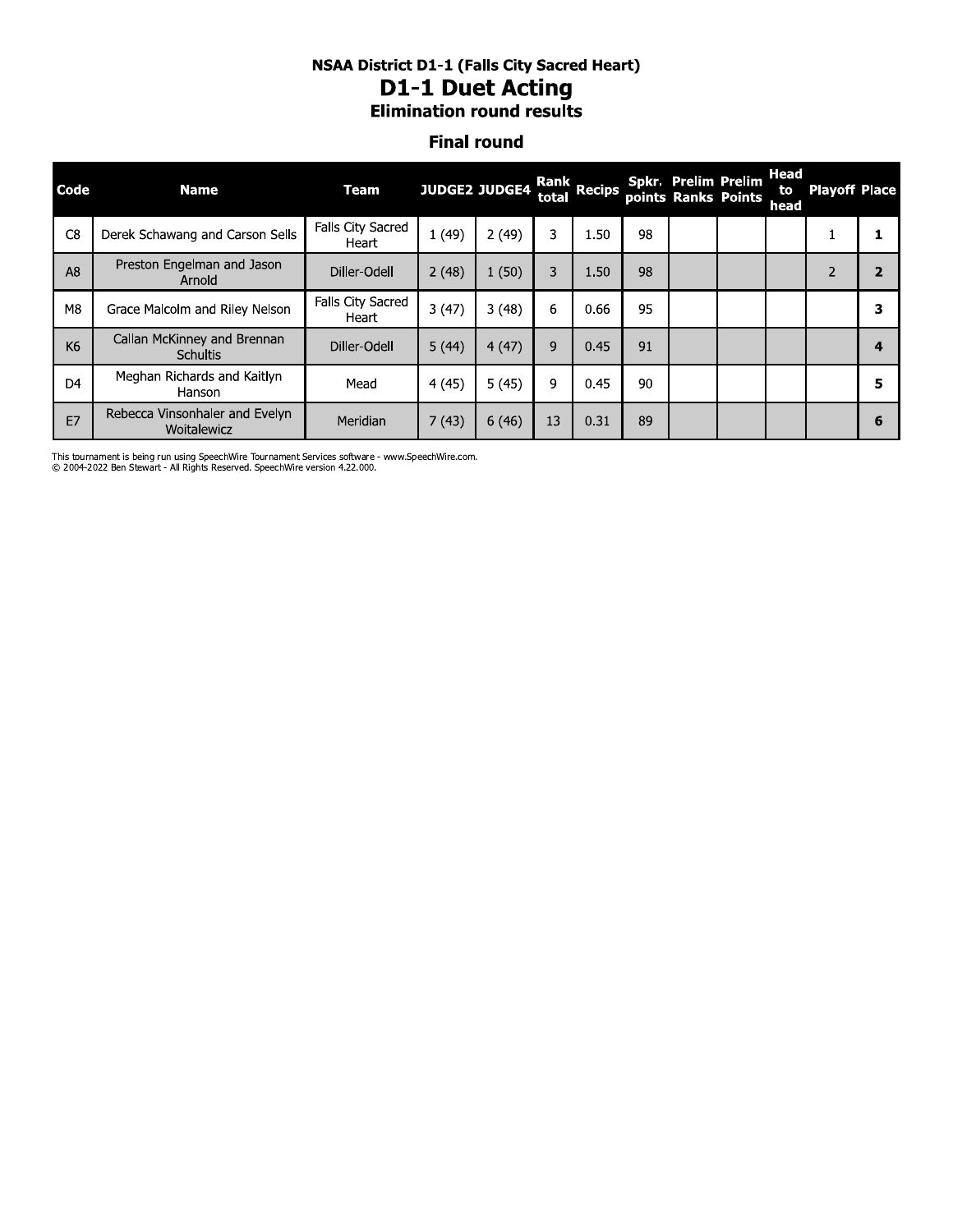#### **NSAA District D1-1 (Falls City Sacred Heart) D1-1 Duet Acting Elimination round results**

#### **Final round**

| Code           | <b>Name</b>                                    | Team                       |       | <b>JUDGE2 JUDGE4</b> | total | Rank Recips |    | <b>Spkr. Prelim Prelim</b><br>points Ranks Points | Head<br>to<br>head | <b>Playoff Place</b> |   |
|----------------|------------------------------------------------|----------------------------|-------|----------------------|-------|-------------|----|---------------------------------------------------|--------------------|----------------------|---|
| C <sub>8</sub> | Derek Schawang and Carson Sells                | Falls City Sacred<br>Heart | 1(49) | 2(49)                | 3     | 1.50        | 98 |                                                   |                    |                      |   |
| A <sub>8</sub> | Preston Engelman and Jason<br>Arnold           | Diller-Odell               | 2(48) | 1(50)                | 3     | 1.50        | 98 |                                                   |                    |                      |   |
| M8             | Grace Malcolm and Riley Nelson                 | Falls City Sacred<br>Heart | 3(47) | 3(48)                | 6     | 0.66        | 95 |                                                   |                    |                      | 3 |
| K <sub>6</sub> | Callan McKinney and Brennan<br><b>Schultis</b> | Diller-Odell               | 5(44) | 4(47)                | 9     | 0.45        | 91 |                                                   |                    |                      |   |
| D <sub>4</sub> | Meghan Richards and Kaitlyn<br>Hanson          | Mead                       | 4(45) | 5(45)                | 9     | 0.45        | 90 |                                                   |                    |                      | 5 |
| E7             | Rebecca Vinsonhaler and Evelyn<br>Woitalewicz  | Meridian                   | 7(43) | 6(46)                | 13    | 0.31        | 89 |                                                   |                    |                      |   |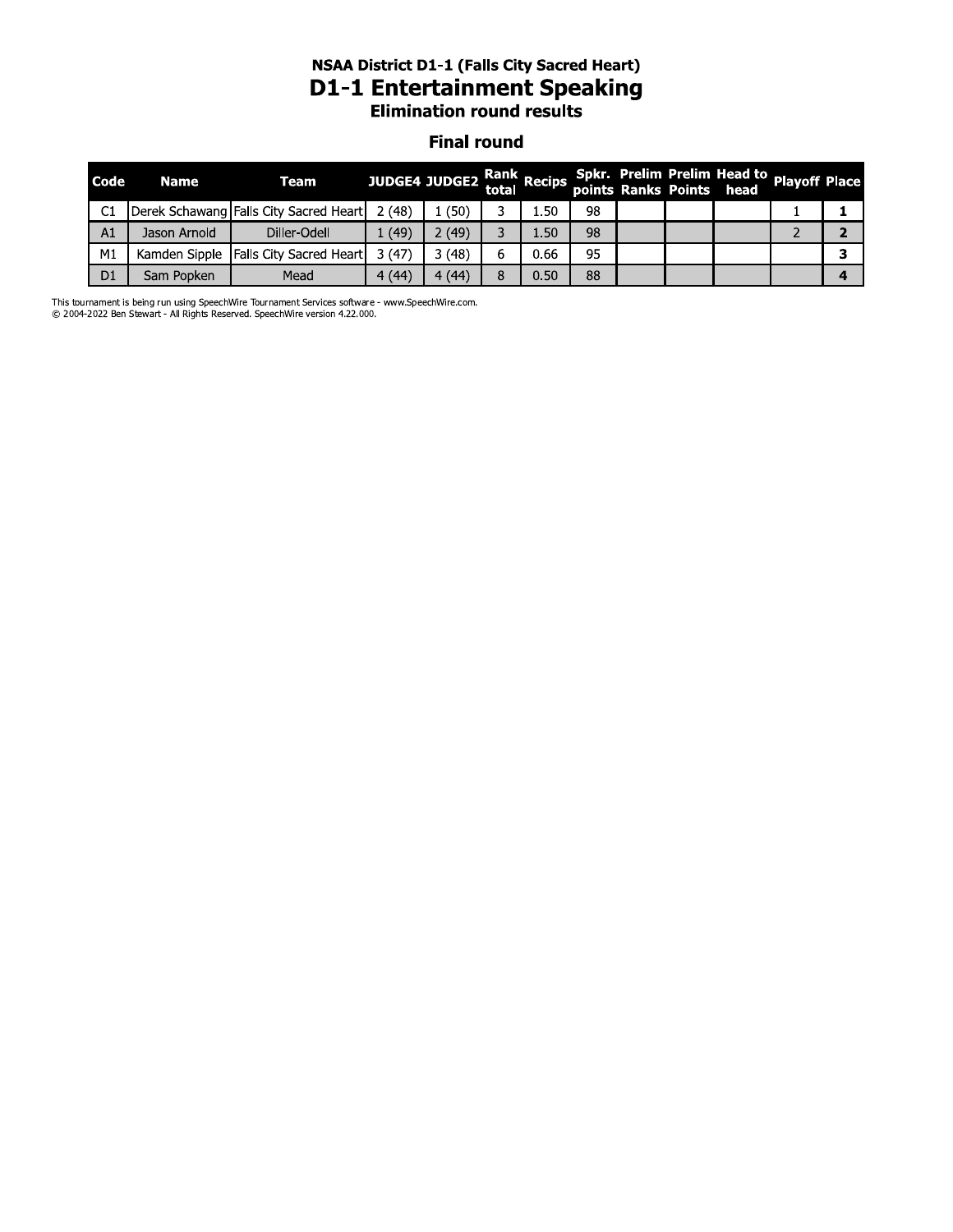#### nsaa District D1-1 (Falis City Sacred Heart) D1-1 Entertainment Speaking **Elimination round results**

#### **Final round**

|                | <b>NSAA District D1-1 (Falls City Sacred Heart)</b><br><b>D1-1 Entertainment Speaking</b><br><b>Elimination round results</b> |                                        |       |                      |       |             |    |  |  |                                                         |                      |   |
|----------------|-------------------------------------------------------------------------------------------------------------------------------|----------------------------------------|-------|----------------------|-------|-------------|----|--|--|---------------------------------------------------------|----------------------|---|
|                |                                                                                                                               |                                        |       | <b>Final round</b>   |       |             |    |  |  |                                                         |                      |   |
| <b>Code</b>    | <b>Name</b>                                                                                                                   | Team                                   |       | <b>JUDGE4 JUDGE2</b> | total | Rank Recips |    |  |  | Spkr. Prelim Prelim Head to<br>points Ranks Points head | <b>Playoff Place</b> |   |
| C1             |                                                                                                                               | Derek Schawang Falls City Sacred Heart | 2(48) | 1(50)                | 3     | 1.50        | 98 |  |  |                                                         |                      | 1 |
| A1             | Jason Arnold                                                                                                                  | Diller-Odell                           | 1(49) | 2(49)                | 3     | 1.50        | 98 |  |  |                                                         |                      | 2 |
| M1             | Kamden Sipple                                                                                                                 | Falls City Sacred Heart                | 3(47) | 3(48)                | 6     | 0.66        | 95 |  |  |                                                         |                      | 3 |
| D <sub>1</sub> | Sam Popken                                                                                                                    | Mead                                   | 4(44) | 4(44)                | 8     | 0.50        | 88 |  |  |                                                         |                      | 4 |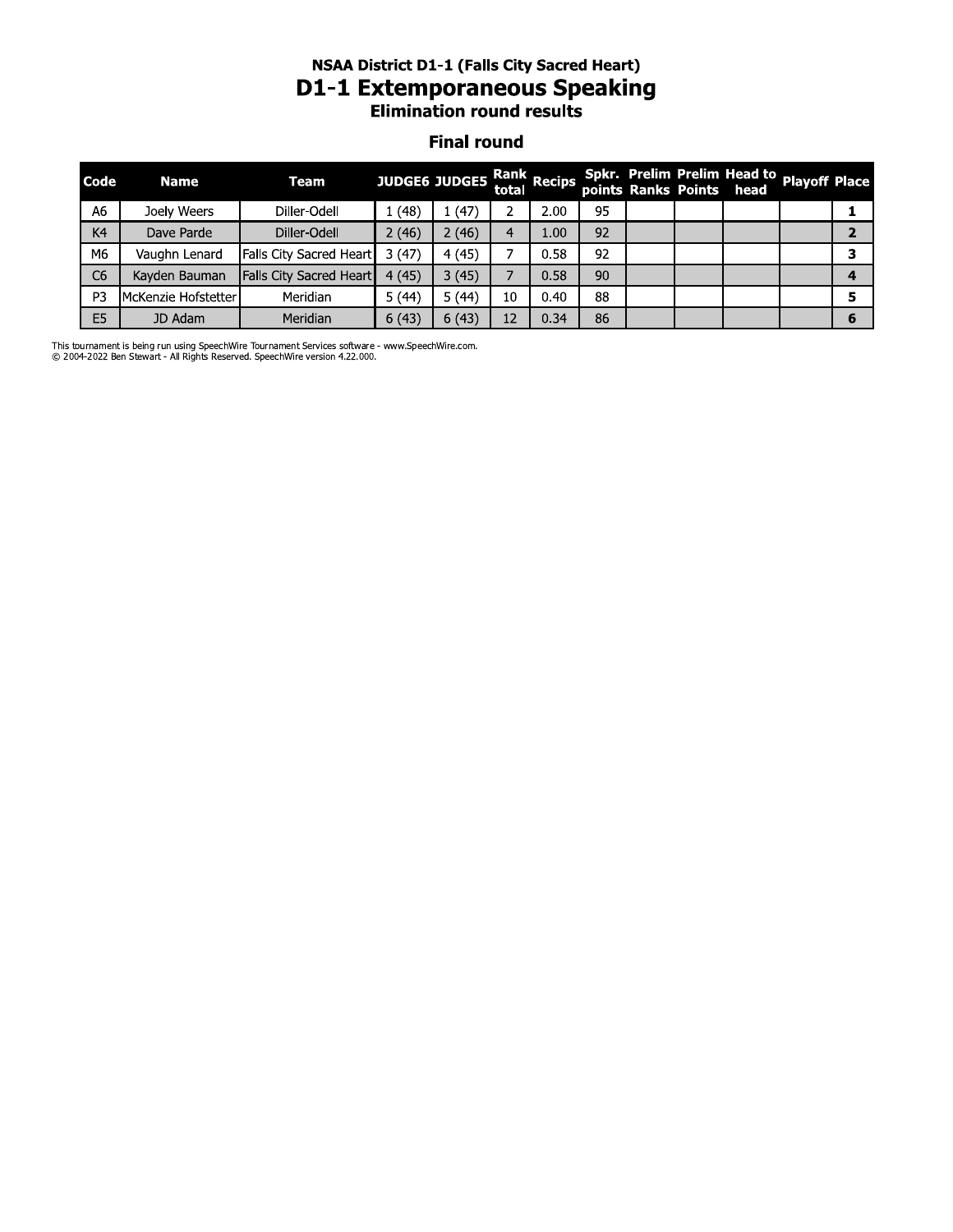### nsaa District D1-1 (Fails City Sacred Heart) D1-1 Extemporaneous Speaking **Elimination round results**

#### **Final round**

|                | <b>NSAA District D1-1 (Falls City Sacred Heart)</b><br><b>D1-1 Extemporaneous Speaking</b><br><b>Elimination round results</b> |                         |       |                           |    |      |    |  |  |                                                                       |  |                |  |
|----------------|--------------------------------------------------------------------------------------------------------------------------------|-------------------------|-------|---------------------------|----|------|----|--|--|-----------------------------------------------------------------------|--|----------------|--|
|                | <b>Final round</b>                                                                                                             |                         |       |                           |    |      |    |  |  |                                                                       |  |                |  |
| Code           | <b>Name</b>                                                                                                                    | <b>Team</b>             |       | JUDGE6 JUDGE5 Rank Recips |    |      |    |  |  | Spkr. Prelim Prelim Head to Playoff Place<br>points Ranks Points head |  |                |  |
| A6             | Joely Weers                                                                                                                    | Diller-Odell            | 1(48) | 1(47)                     | 2  | 2.00 | 95 |  |  |                                                                       |  | 1              |  |
| K4             | Dave Parde                                                                                                                     | Diller-Odell            | 2(46) | 2(46)                     | 4  | 1.00 | 92 |  |  |                                                                       |  | $\overline{2}$ |  |
| M6             | Vaughn Lenard                                                                                                                  | Falls City Sacred Heart | 3(47) | 4(45)                     |    | 0.58 | 92 |  |  |                                                                       |  | з              |  |
| C <sub>6</sub> | Kayden Bauman                                                                                                                  | Falls City Sacred Heart | 4(45) | 3(45)                     | 7  | 0.58 | 90 |  |  |                                                                       |  | 4              |  |
| P <sub>3</sub> | McKenzie Hofstetter                                                                                                            | Meridian                | 5(44) | 5(44)                     | 10 | 0.40 | 88 |  |  |                                                                       |  | 5              |  |
| E <sub>5</sub> | JD Adam                                                                                                                        | Meridian                | 6(43) | 6(43)                     | 12 | 0.34 | 86 |  |  |                                                                       |  | 6              |  |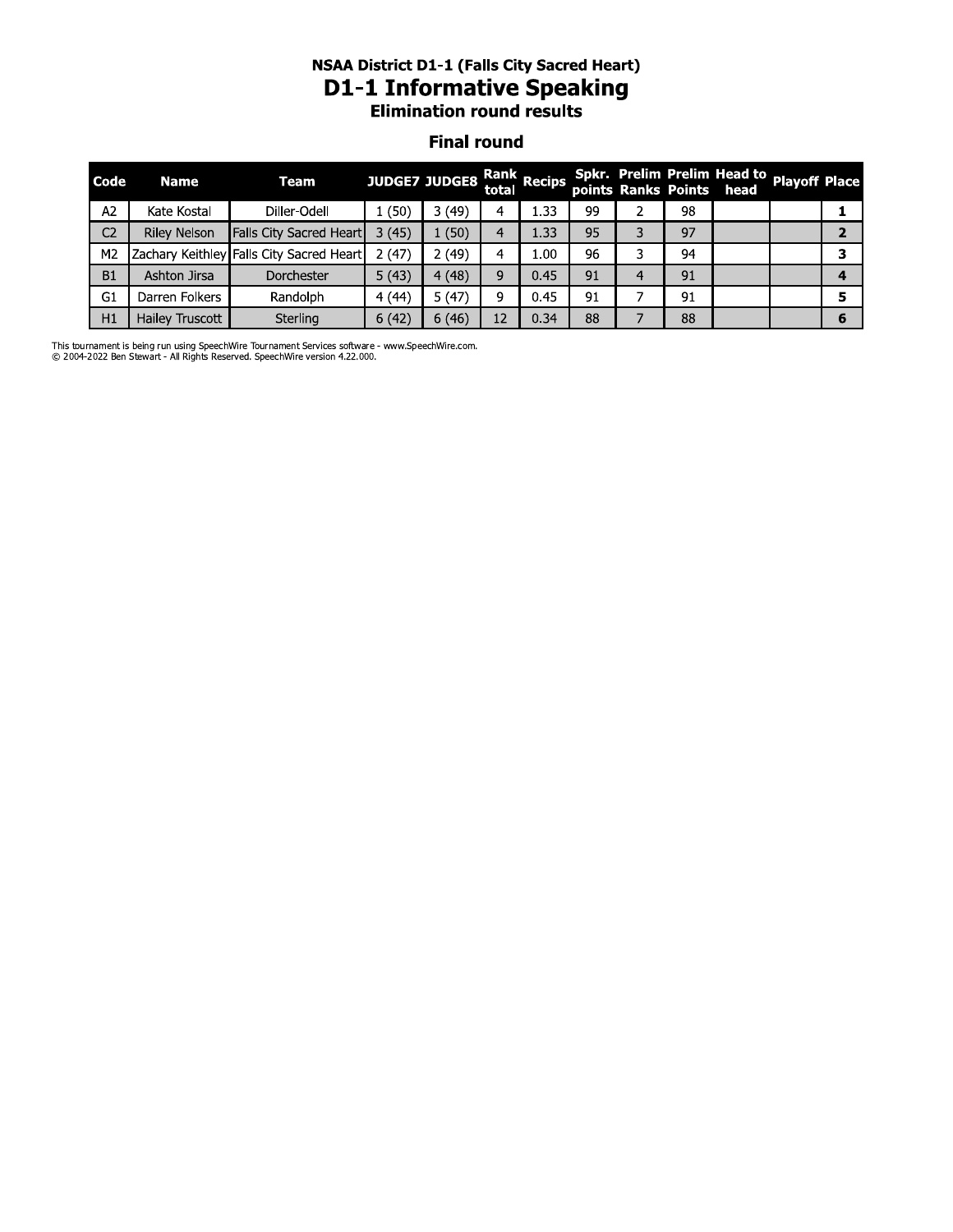# nsaa District D1-1 (Fails City Sacred Heart) D1-1 Informative Speaking<br>Elimination round results

#### **Final round**

|                | <b>NSAA District D1-1 (Falls City Sacred Heart)</b><br><b>D1-1 Informative Speaking</b><br><b>Elimination round results</b> |                                          |                      |       |                |             |    |               |    |                                                                       |  |                |  |
|----------------|-----------------------------------------------------------------------------------------------------------------------------|------------------------------------------|----------------------|-------|----------------|-------------|----|---------------|----|-----------------------------------------------------------------------|--|----------------|--|
|                | <b>Final round</b>                                                                                                          |                                          |                      |       |                |             |    |               |    |                                                                       |  |                |  |
| Code           | <b>Name</b>                                                                                                                 | <b>Team</b>                              | <b>JUDGE7 JUDGE8</b> |       | total          | Rank Recips |    |               |    | Spkr. Prelim Prelim Head to Playoff Place<br>points Ranks Points head |  |                |  |
| A2             | Kate Kostal                                                                                                                 | Diller-Odell                             | 1(50)                | 3(49) | 4              | 1.33        | 99 | $\mathcal{P}$ | 98 |                                                                       |  | 1              |  |
| C <sub>2</sub> | <b>Riley Nelson</b>                                                                                                         | <b>Falls City Sacred Heart</b>           | 3(45)                | 1(50) | $\overline{4}$ | 1.33        | 95 | 3             | 97 |                                                                       |  | $\overline{2}$ |  |
| M <sub>2</sub> |                                                                                                                             | Zachary Keithley Falls City Sacred Heart | 2(47)                | 2(49) | 4              | 1.00        | 96 | 3             | 94 |                                                                       |  | 3              |  |
| <b>B1</b>      | Ashton Jirsa                                                                                                                | <b>Dorchester</b>                        | 5(43)                | 4(48) | 9              | 0.45        | 91 | 4             | 91 |                                                                       |  | 4              |  |
| G <sub>1</sub> | Darren Folkers                                                                                                              | Randolph                                 | 4(44)                | 5(47) | 9              | 0.45        | 91 |               | 91 |                                                                       |  | 5              |  |
| H1             | Hailey Truscott                                                                                                             | Sterling                                 | 6(42)                | 6(46) | 12             | 0.34        | 88 |               | 88 |                                                                       |  | 6              |  |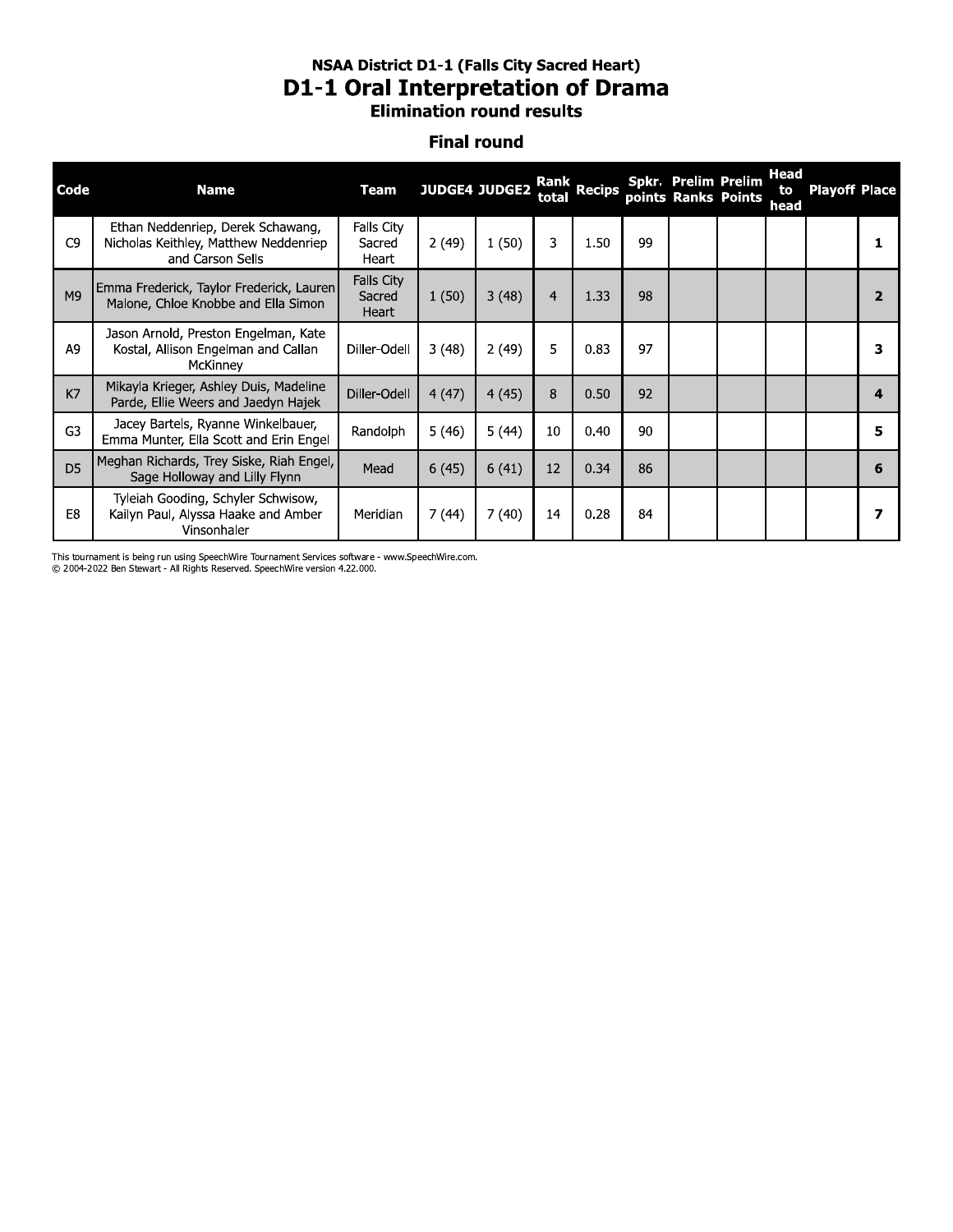#### nsaa District D1-1 (Fails City Sacred Heart) **D1-1 Oral Interpretation of Drama Elimination round results**

#### **Final round**

|                | <b>NSAA District D1-1 (Falls City Sacred Heart)</b><br><b>D1-1 Oral Interpretation of Drama</b><br><b>Elimination round results</b> |                               |                      |       |       |             |    |                            |                     |                           |                      |                |  |  |
|----------------|-------------------------------------------------------------------------------------------------------------------------------------|-------------------------------|----------------------|-------|-------|-------------|----|----------------------------|---------------------|---------------------------|----------------------|----------------|--|--|
|                | <b>Final round</b>                                                                                                                  |                               |                      |       |       |             |    |                            |                     |                           |                      |                |  |  |
| Code           | <b>Name</b>                                                                                                                         | <b>Team</b>                   | <b>JUDGE4 JUDGE2</b> |       | total | Rank Recips |    | <b>Spkr. Prelim Prelim</b> | points Ranks Points | <b>Head</b><br>to<br>head | <b>Playoff Place</b> |                |  |  |
| C <sub>9</sub> | Ethan Neddenriep, Derek Schawang,<br>Nicholas Keithley, Matthew Neddenriep<br>and Carson Sells                                      | Falls City<br>Sacred<br>Heart | 2(49)                | 1(50) | 3     | 1.50        | 99 |                            |                     |                           |                      | 1              |  |  |
| M9             | Emma Frederick, Taylor Frederick, Lauren<br>Malone, Chloe Knobbe and Ella Simon                                                     | Falls City<br>Sacred<br>Heart | 1(50)                | 3(48) | 4     | 1.33        | 98 |                            |                     |                           |                      | $\overline{2}$ |  |  |
| A <sub>9</sub> | Jason Arnold, Preston Engelman, Kate<br>Kostal, Allison Engelman and Callan<br>McKinney                                             | Diller-Odell                  | 3(48)                | 2(49) | 5     | 0.83        | 97 |                            |                     |                           |                      | 3              |  |  |
| K7             | Mikayla Krieger, Ashley Duis, Madeline<br>Parde, Ellie Weers and Jaedyn Hajek                                                       | Diller-Odell                  | 4(47)                | 4(45) | 8     | 0.50        | 92 |                            |                     |                           |                      | 4              |  |  |
| G <sub>3</sub> | Jacey Bartels, Ryanne Winkelbauer,<br>Emma Munter, Ella Scott and Erin Engel                                                        | Randolph                      | 5(46)                | 5(44) | 10    | 0.40        | 90 |                            |                     |                           |                      | 5              |  |  |
| D <sub>5</sub> | Meghan Richards, Trey Siske, Riah Engel,<br>Sage Holloway and Lilly Flynn                                                           | Mead                          | 6(45)                | 6(41) | 12    | 0.34        | 86 |                            |                     |                           |                      | 6              |  |  |
| E <sub>8</sub> | Tyleiah Gooding, Schyler Schwisow,<br>Kailyn Paul, Alyssa Haake and Amber<br>Vinsonhaler                                            | Meridian                      | 7 (44)               | 7(40) | 14    | 0.28        | 84 |                            |                     |                           |                      | 7              |  |  |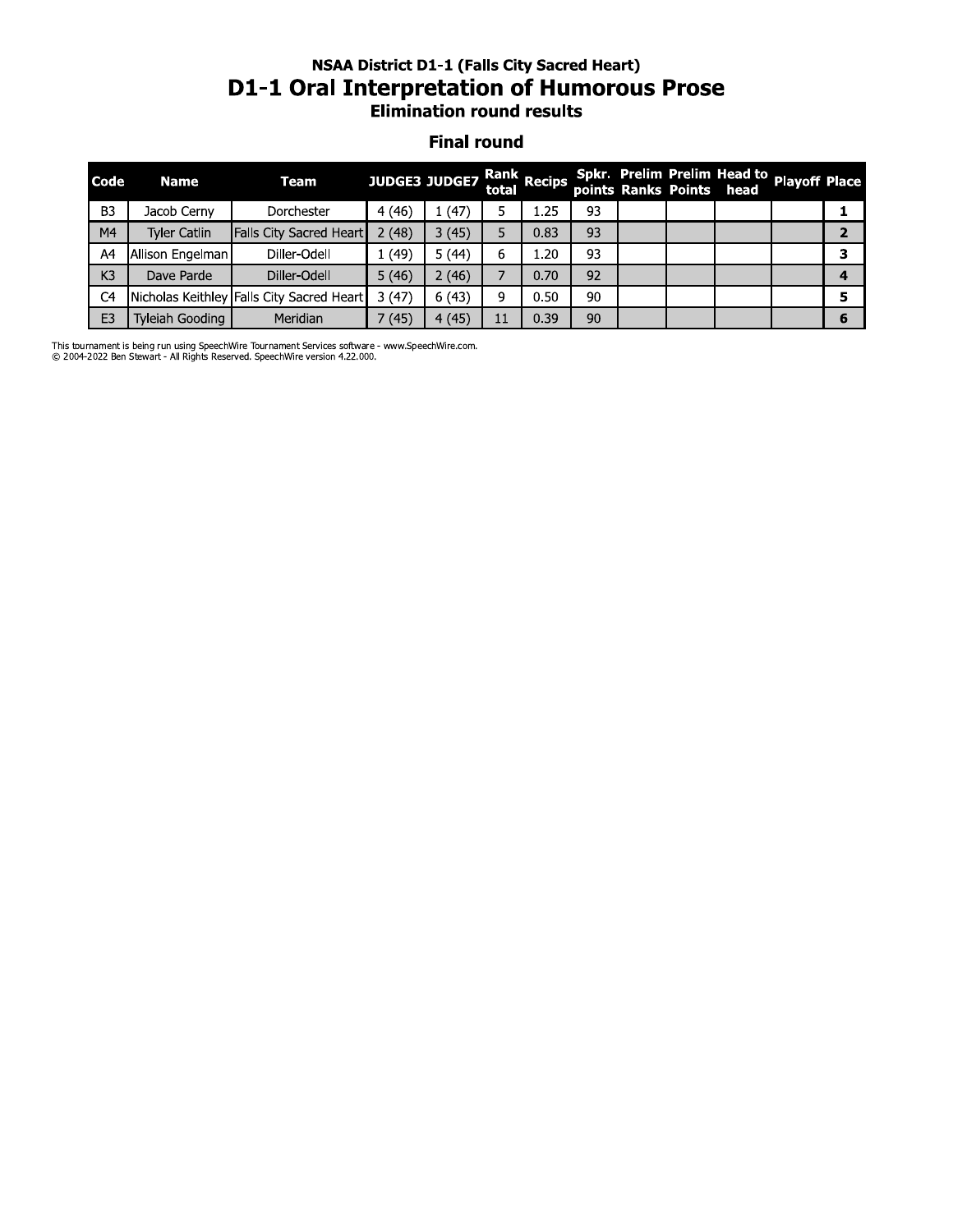# nsaa District D1-1 (Fails City Sacred Heart) D1-1 Oral Interpretation or Humorous Prose<br>Elimination round results

#### **Final round**

|                | <b>NSAA District D1-1 (Falls City Sacred Heart)</b><br><b>D1-1 Oral Interpretation of Humorous Prose</b><br><b>Elimination round results</b> |                                           |                      |       |    |                      |    |  |  |                                                                       |  |                |  |  |
|----------------|----------------------------------------------------------------------------------------------------------------------------------------------|-------------------------------------------|----------------------|-------|----|----------------------|----|--|--|-----------------------------------------------------------------------|--|----------------|--|--|
|                | <b>Final round</b>                                                                                                                           |                                           |                      |       |    |                      |    |  |  |                                                                       |  |                |  |  |
| Code           | <b>Name</b>                                                                                                                                  | <b>Team</b>                               | <b>JUDGE3 JUDGE7</b> |       |    | Rank<br>total Recips |    |  |  | Spkr. Prelim Prelim Head to Playoff Place<br>points Ranks Points head |  |                |  |  |
| B <sub>3</sub> | Jacob Cerny                                                                                                                                  | Dorchester                                | 4 (46)               | 1(47) | 5  | 1.25                 | 93 |  |  |                                                                       |  | 1              |  |  |
| M <sub>4</sub> | <b>Tyler Catlin</b>                                                                                                                          | Falls City Sacred Heart                   | 2(48)                | 3(45) | 5. | 0.83                 | 93 |  |  |                                                                       |  | $\overline{2}$ |  |  |
| A4             | Allison Engelman                                                                                                                             | Diller-Odell                              | 1(49)                | 5(44) | 6  | 1.20                 | 93 |  |  |                                                                       |  | 3              |  |  |
| K3             | Dave Parde                                                                                                                                   | Diller-Odell                              | 5(46)                | 2(46) | 7  | 0.70                 | 92 |  |  |                                                                       |  | 4              |  |  |
| C4             |                                                                                                                                              | Nicholas Keithley Falls City Sacred Heart | 3(47)                | 6(43) | 9  | 0.50                 | 90 |  |  |                                                                       |  | 5              |  |  |
| E <sub>3</sub> | Tyleiah Gooding                                                                                                                              | Meridian                                  | 7(45)                | 4(45) | 11 | 0.39                 | 90 |  |  |                                                                       |  | 6              |  |  |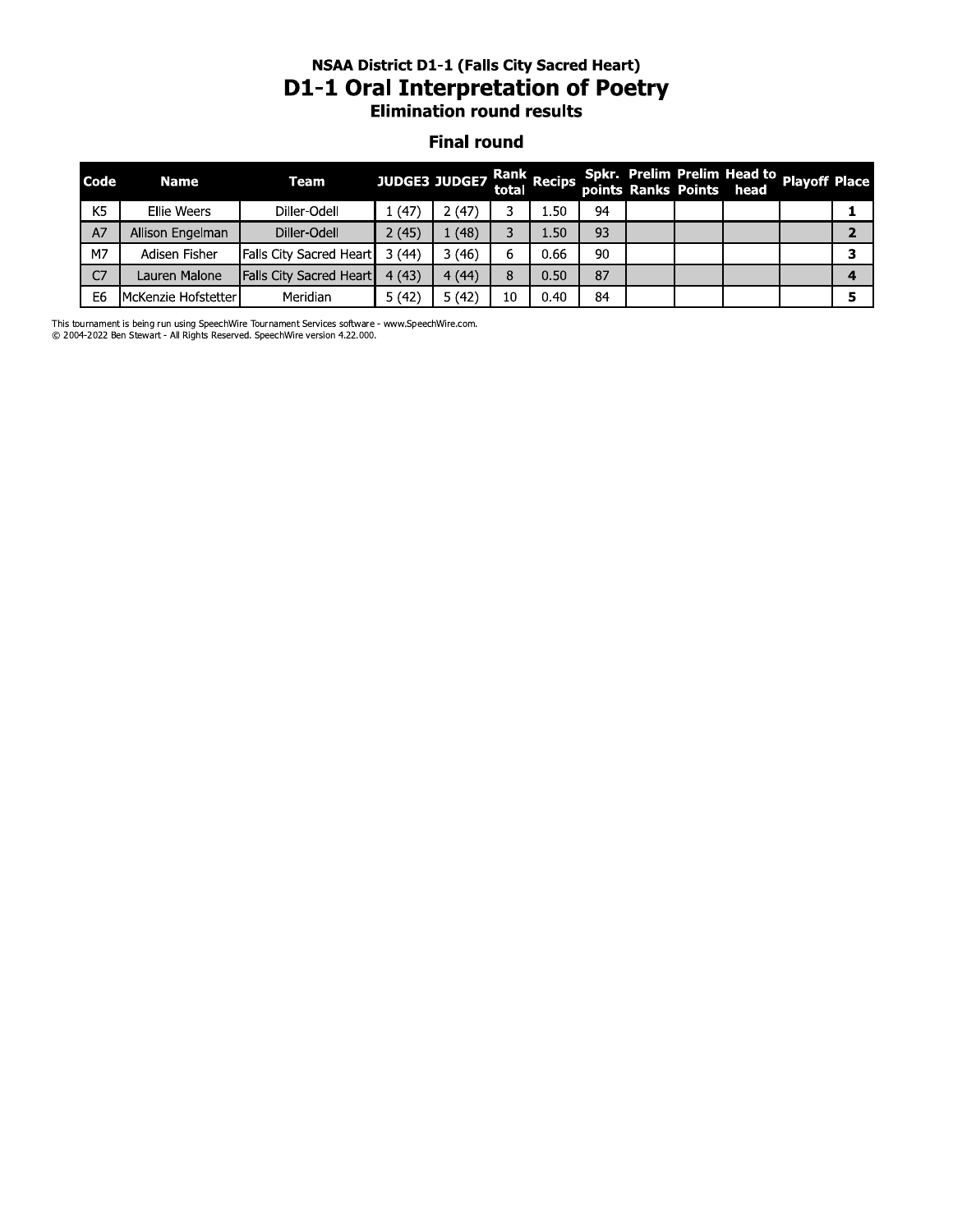#### nsaa District D1-1 (Fails City Sacred Heart) D1-1 Oral Interpretation of Poetry **Elimination round results**

#### **Final round**

|                | <b>NSAA District D1-1 (Falls City Sacred Heart)</b><br><b>D1-1 Oral Interpretation of Poetry</b><br><b>Elimination round results</b> |                                                                                           |       |                      |       |             |    |  |  |                                                                       |  |                |
|----------------|--------------------------------------------------------------------------------------------------------------------------------------|-------------------------------------------------------------------------------------------|-------|----------------------|-------|-------------|----|--|--|-----------------------------------------------------------------------|--|----------------|
|                | <b>Final round</b>                                                                                                                   |                                                                                           |       |                      |       |             |    |  |  |                                                                       |  |                |
| <b>Code</b>    | <b>Name</b>                                                                                                                          | <b>Team</b>                                                                               |       | <b>JUDGE3 JUDGE7</b> | total | Rank Recips |    |  |  | Spkr. Prelim Prelim Head to Playoff Place<br>points Ranks Points head |  |                |
| K <sub>5</sub> | Ellie Weers                                                                                                                          | Diller-Odell                                                                              | 1(47) | 2(47)                | 3     | 1.50        | 94 |  |  |                                                                       |  | 1              |
| A7             | Allison Engelman                                                                                                                     | Diller-Odell                                                                              | 2(45) | 1(48)                | 3     | 1.50        | 93 |  |  |                                                                       |  | $\overline{2}$ |
| M7             | Adisen Fisher                                                                                                                        | Falls City Sacred Heart                                                                   | 3(44) | 3(46)                | 6     | 0.66        | 90 |  |  |                                                                       |  | 3              |
| C7             | Lauren Malone                                                                                                                        | <b>Falls City Sacred Heart</b>                                                            | 4(43) | 4(44)                | 8     | 0.50        | 87 |  |  |                                                                       |  | 4              |
| E6             | McKenzie Hofstetter                                                                                                                  | Meridian                                                                                  | 5(42) | 5(42)                | 10    | 0.40        | 84 |  |  |                                                                       |  | 5              |
|                |                                                                                                                                      | ournament is being run using SpeechMire Tournament Services settware - www.SpeechMire.com |       |                      |       |             |    |  |  |                                                                       |  |                |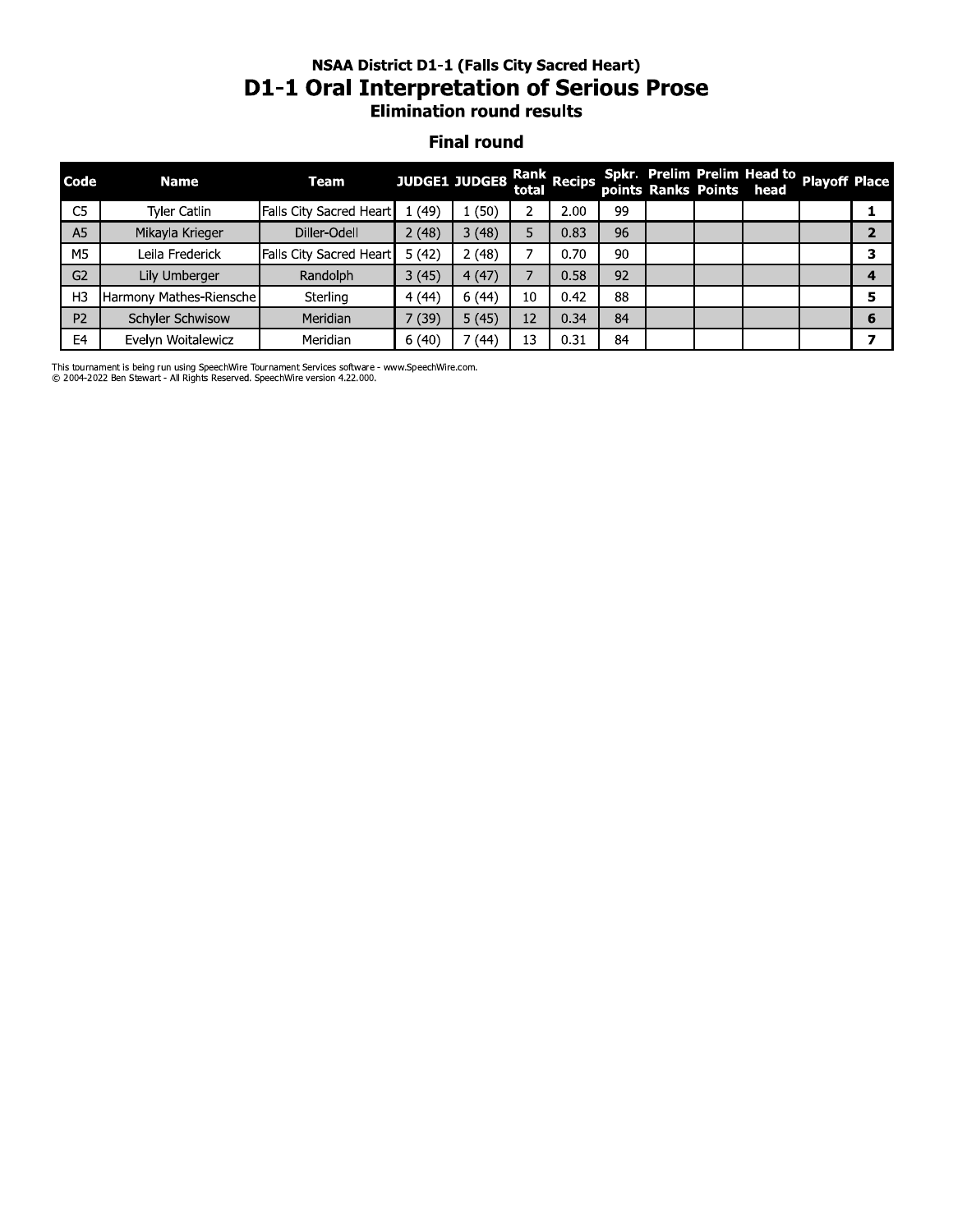### nsaa District D1-1 (Fails City Sacred Heart) D1-1 Oral Interpretation or Serious Prose **Elimination round results**

#### **Final round**

|                | <b>NSAA District D1-1 (Falls City Sacred Heart)</b><br><b>D1-1 Oral Interpretation of Serious Prose</b><br><b>Elimination round results</b><br><b>Final round</b> |                         |       |               |       |             |    |  |  |                                                                       |  |                |  |
|----------------|-------------------------------------------------------------------------------------------------------------------------------------------------------------------|-------------------------|-------|---------------|-------|-------------|----|--|--|-----------------------------------------------------------------------|--|----------------|--|
| Code           | <b>Name</b>                                                                                                                                                       | <b>Team</b>             |       | JUDGE1 JUDGE8 | total | Rank Recips |    |  |  | Spkr. Prelim Prelim Head to Playoff Place<br>points Ranks Points head |  |                |  |
| C <sub>5</sub> | Tyler Catlin                                                                                                                                                      | Falls City Sacred Heart | 1(49) | 1(50)         | 2     | 2.00        | 99 |  |  |                                                                       |  | 1              |  |
| A5             | Mikayla Krieger                                                                                                                                                   | Diller-Odell            | 2(48) | 3(48)         | 5     | 0.83        | 96 |  |  |                                                                       |  | $\overline{2}$ |  |
| M5             | Leila Frederick                                                                                                                                                   | Falls City Sacred Heart | 5(42) | 2(48)         | 7     | 0.70        | 90 |  |  |                                                                       |  | 3              |  |
| G <sub>2</sub> | Lily Umberger                                                                                                                                                     | Randolph                | 3(45) | 4(47)         | 7     | 0.58        | 92 |  |  |                                                                       |  | 4              |  |
| H <sub>3</sub> | Harmony Mathes-Riensche                                                                                                                                           | Sterling                | 4(44) | 6(44)         | 10    | 0.42        | 88 |  |  |                                                                       |  | 5              |  |
| P <sub>2</sub> | Schyler Schwisow                                                                                                                                                  | Meridian                | 7(39) | 5(45)         | 12    | 0.34        | 84 |  |  |                                                                       |  | 6              |  |
| E4             | Evelyn Woitalewicz                                                                                                                                                | Meridian                | 6(40) | 7(44)         | 13    | 0.31        | 84 |  |  |                                                                       |  | 7              |  |